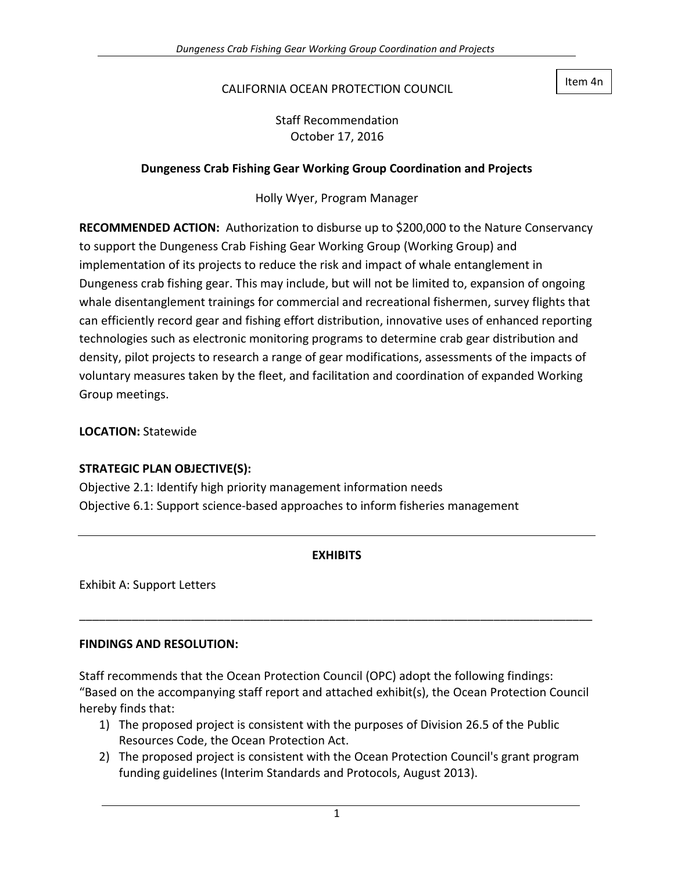#### CALIFORNIA OCEAN PROTECTION COUNCIL

Item 4n

Staff Recommendation October 17, 2016

#### **Dungeness Crab Fishing Gear Working Group Coordination and Projects**

Holly Wyer, Program Manager

**RECOMMENDED ACTION:** Authorization to disburse up to \$200,000 to the Nature Conservancy to support the Dungeness Crab Fishing Gear Working Group (Working Group) and implementation of its projects to reduce the risk and impact of whale entanglement in Dungeness crab fishing gear. This may include, but will not be limited to, expansion of ongoing whale disentanglement trainings for commercial and recreational fishermen, survey flights that can efficiently record gear and fishing effort distribution, innovative uses of enhanced reporting technologies such as electronic monitoring programs to determine crab gear distribution and density, pilot projects to research a range of gear modifications, assessments of the impacts of voluntary measures taken by the fleet, and facilitation and coordination of expanded Working Group meetings.

**LOCATION:** Statewide

#### **STRATEGIC PLAN OBJECTIVE(S):**

Objective 2.1: Identify high priority management information needs Objective 6.1: Support science-based approaches to inform fisheries management

#### **EXHIBITS**

\_\_\_\_\_\_\_\_\_\_\_\_\_\_\_\_\_\_\_\_\_\_\_\_\_\_\_\_\_\_\_\_\_\_\_\_\_\_\_\_\_\_\_\_\_\_\_\_\_\_\_\_\_\_\_\_\_\_\_\_\_\_\_\_\_\_\_\_\_\_\_\_\_\_\_\_\_\_

Exhibit A: Support Letters

#### **FINDINGS AND RESOLUTION:**

Staff recommends that the Ocean Protection Council (OPC) adopt the following findings: "Based on the accompanying staff report and attached exhibit(s), the Ocean Protection Council hereby finds that:

- 1) The proposed project is consistent with the purposes of Division 26.5 of the Public Resources Code, the Ocean Protection Act.
- 2) The proposed project is consistent with the Ocean Protection Council's grant program funding guidelines (Interim Standards and Protocols, August 2013).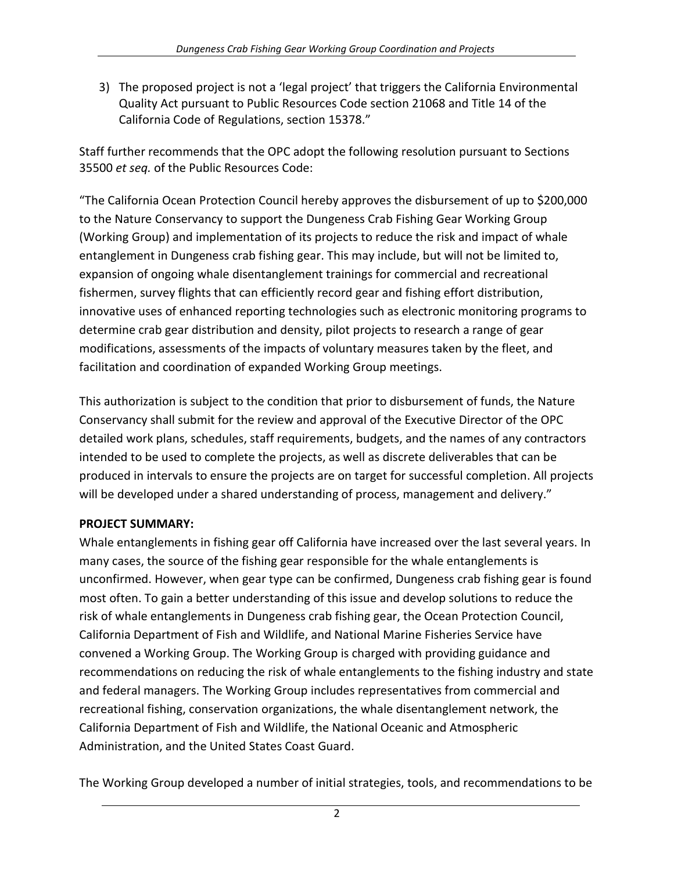3) The proposed project is not a 'legal project' that triggers the California Environmental Quality Act pursuant to Public Resources Code section 21068 and Title 14 of the California Code of Regulations, section 15378."

Staff further recommends that the OPC adopt the following resolution pursuant to Sections 35500 *et seq.* of the Public Resources Code:

"The California Ocean Protection Council hereby approves the disbursement of up to \$200,000 to the Nature Conservancy to support the Dungeness Crab Fishing Gear Working Group (Working Group) and implementation of its projects to reduce the risk and impact of whale entanglement in Dungeness crab fishing gear. This may include, but will not be limited to, expansion of ongoing whale disentanglement trainings for commercial and recreational fishermen, survey flights that can efficiently record gear and fishing effort distribution, innovative uses of enhanced reporting technologies such as electronic monitoring programs to determine crab gear distribution and density, pilot projects to research a range of gear modifications, assessments of the impacts of voluntary measures taken by the fleet, and facilitation and coordination of expanded Working Group meetings.

This authorization is subject to the condition that prior to disbursement of funds, the Nature Conservancy shall submit for the review and approval of the Executive Director of the OPC detailed work plans, schedules, staff requirements, budgets, and the names of any contractors intended to be used to complete the projects, as well as discrete deliverables that can be produced in intervals to ensure the projects are on target for successful completion. All projects will be developed under a shared understanding of process, management and delivery."

# **PROJECT SUMMARY:**

Whale entanglements in fishing gear off California have increased over the last several years. In many cases, the source of the fishing gear responsible for the whale entanglements is unconfirmed. However, when gear type can be confirmed, Dungeness crab fishing gear is found most often. To gain a better understanding of this issue and develop solutions to reduce the risk of whale entanglements in Dungeness crab fishing gear, the Ocean Protection Council, California Department of Fish and Wildlife, and National Marine Fisheries Service have convened a Working Group. The Working Group is charged with providing guidance and recommendations on reducing the risk of whale entanglements to the fishing industry and state and federal managers. The Working Group includes representatives from commercial and recreational fishing, conservation organizations, the whale disentanglement network, the California Department of Fish and Wildlife, the National Oceanic and Atmospheric Administration, and the United States Coast Guard.

The Working Group developed a number of initial strategies, tools, and recommendations to be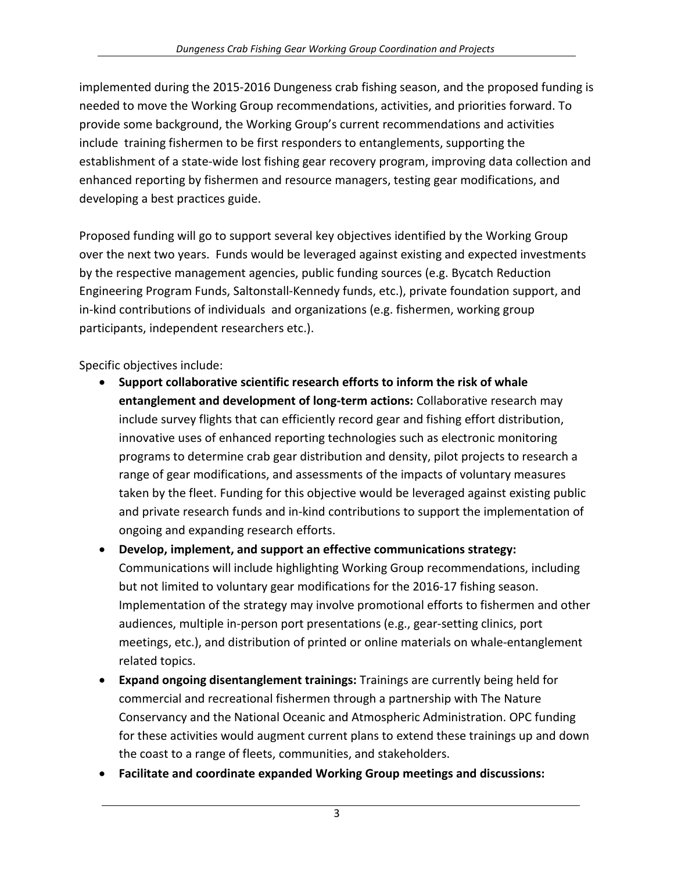implemented during the 2015-2016 Dungeness crab fishing season, and the proposed funding is needed to move the Working Group recommendations, activities, and priorities forward. To provide some background, the Working Group's current recommendations and activities include training fishermen to be first responders to entanglements, supporting the establishment of a state-wide lost fishing gear recovery program, improving data collection and enhanced reporting by fishermen and resource managers, testing gear modifications, and developing a best practices guide.

Proposed funding will go to support several key objectives identified by the Working Group over the next two years. Funds would be leveraged against existing and expected investments by the respective management agencies, public funding sources (e.g. Bycatch Reduction Engineering Program Funds, Saltonstall-Kennedy funds, etc.), private foundation support, and in-kind contributions of individuals and organizations (e.g. fishermen, working group participants, independent researchers etc.).

Specific objectives include:

- **Support collaborative scientific research efforts to inform the risk of whale entanglement and development of long-term actions:** Collaborative research may include survey flights that can efficiently record gear and fishing effort distribution, innovative uses of enhanced reporting technologies such as electronic monitoring programs to determine crab gear distribution and density, pilot projects to research a range of gear modifications, and assessments of the impacts of voluntary measures taken by the fleet. Funding for this objective would be leveraged against existing public and private research funds and in-kind contributions to support the implementation of ongoing and expanding research efforts.
- **Develop, implement, and support an effective communications strategy:** Communications will include highlighting Working Group recommendations, including but not limited to voluntary gear modifications for the 2016-17 fishing season. Implementation of the strategy may involve promotional efforts to fishermen and other audiences, multiple in-person port presentations (e.g., gear-setting clinics, port meetings, etc.), and distribution of printed or online materials on whale-entanglement related topics.
- **Expand ongoing disentanglement trainings:** Trainings are currently being held for commercial and recreational fishermen through a partnership with The Nature Conservancy and the National Oceanic and Atmospheric Administration. OPC funding for these activities would augment current plans to extend these trainings up and down the coast to a range of fleets, communities, and stakeholders.
- **Facilitate and coordinate expanded Working Group meetings and discussions:**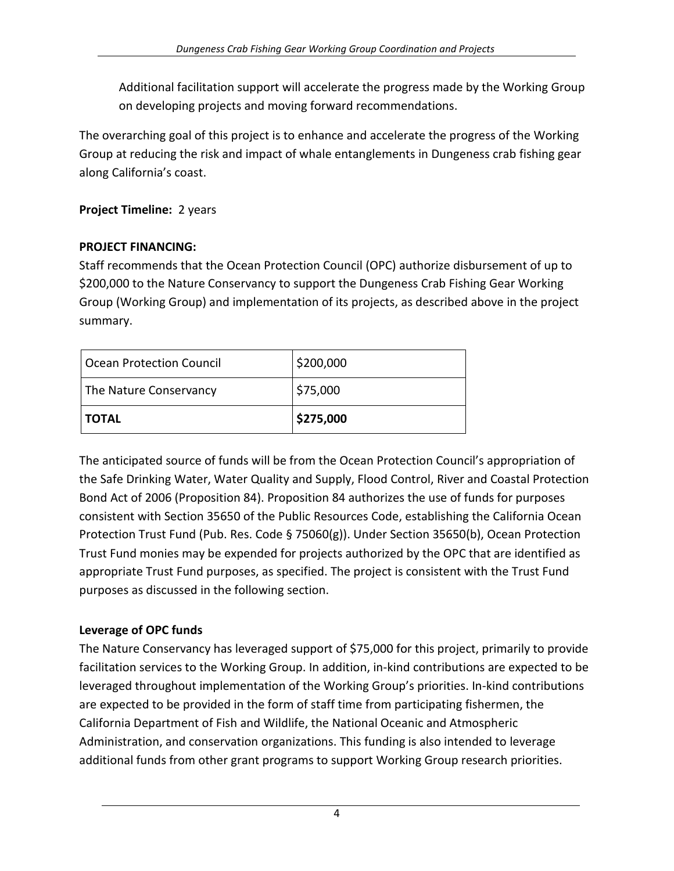Additional facilitation support will accelerate the progress made by the Working Group on developing projects and moving forward recommendations.

The overarching goal of this project is to enhance and accelerate the progress of the Working Group at reducing the risk and impact of whale entanglements in Dungeness crab fishing gear along California's coast.

# **Project Timeline:** 2 years

#### **PROJECT FINANCING:**

Staff recommends that the Ocean Protection Council (OPC) authorize disbursement of up to \$200,000 to the Nature Conservancy to support the Dungeness Crab Fishing Gear Working Group (Working Group) and implementation of its projects, as described above in the project summary.

| Ocean Protection Council | \$200,000 |
|--------------------------|-----------|
| The Nature Conservancy   | \$75,000  |
| <b>I TOTAL</b>           | \$275,000 |

The anticipated source of funds will be from the Ocean Protection Council's appropriation of the Safe Drinking Water, Water Quality and Supply, Flood Control, River and Coastal Protection Bond Act of 2006 (Proposition 84). Proposition 84 authorizes the use of funds for purposes consistent with Section 35650 of the Public Resources Code, establishing the California Ocean Protection Trust Fund (Pub. Res. Code § 75060(g)). Under Section 35650(b), Ocean Protection Trust Fund monies may be expended for projects authorized by the OPC that are identified as appropriate Trust Fund purposes, as specified. The project is consistent with the Trust Fund purposes as discussed in the following section.

#### **Leverage of OPC funds**

The Nature Conservancy has leveraged support of \$75,000 for this project, primarily to provide facilitation services to the Working Group. In addition, in-kind contributions are expected to be leveraged throughout implementation of the Working Group's priorities. In-kind contributions are expected to be provided in the form of staff time from participating fishermen, the California Department of Fish and Wildlife, the National Oceanic and Atmospheric Administration, and conservation organizations. This funding is also intended to leverage additional funds from other grant programs to support Working Group research priorities.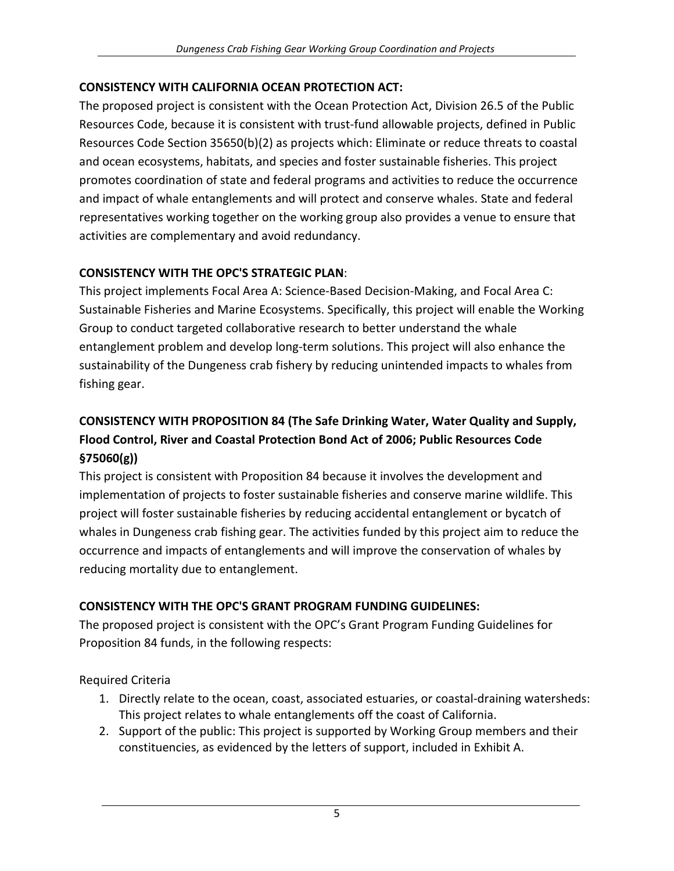### **CONSISTENCY WITH CALIFORNIA OCEAN PROTECTION ACT:**

The proposed project is consistent with the Ocean Protection Act, Division 26.5 of the Public Resources Code, because it is consistent with trust-fund allowable projects, defined in Public Resources Code Section 35650(b)(2) as projects which: Eliminate or reduce threats to coastal and ocean ecosystems, habitats, and species and foster sustainable fisheries. This project promotes coordination of state and federal programs and activities to reduce the occurrence and impact of whale entanglements and will protect and conserve whales. State and federal representatives working together on the working group also provides a venue to ensure that activities are complementary and avoid redundancy.

### **CONSISTENCY WITH THE OPC'S STRATEGIC PLAN**:

This project implements Focal Area A: Science-Based Decision-Making, and Focal Area C: Sustainable Fisheries and Marine Ecosystems. Specifically, this project will enable the Working Group to conduct targeted collaborative research to better understand the whale entanglement problem and develop long-term solutions. This project will also enhance the sustainability of the Dungeness crab fishery by reducing unintended impacts to whales from fishing gear.

# **CONSISTENCY WITH PROPOSITION 84 (The Safe Drinking Water, Water Quality and Supply, Flood Control, River and Coastal Protection Bond Act of 2006; Public Resources Code §75060(g))**

This project is consistent with Proposition 84 because it involves the development and implementation of projects to foster sustainable fisheries and conserve marine wildlife. This project will foster sustainable fisheries by reducing accidental entanglement or bycatch of whales in Dungeness crab fishing gear. The activities funded by this project aim to reduce the occurrence and impacts of entanglements and will improve the conservation of whales by reducing mortality due to entanglement.

# **CONSISTENCY WITH THE OPC'S GRANT PROGRAM FUNDING GUIDELINES:**

The proposed project is consistent with the OPC's Grant Program Funding Guidelines for Proposition 84 funds, in the following respects:

Required Criteria

- 1. Directly relate to the ocean, coast, associated estuaries, or coastal-draining watersheds: This project relates to whale entanglements off the coast of California.
- 2. Support of the public: This project is supported by Working Group members and their constituencies, as evidenced by the letters of support, included in Exhibit A.